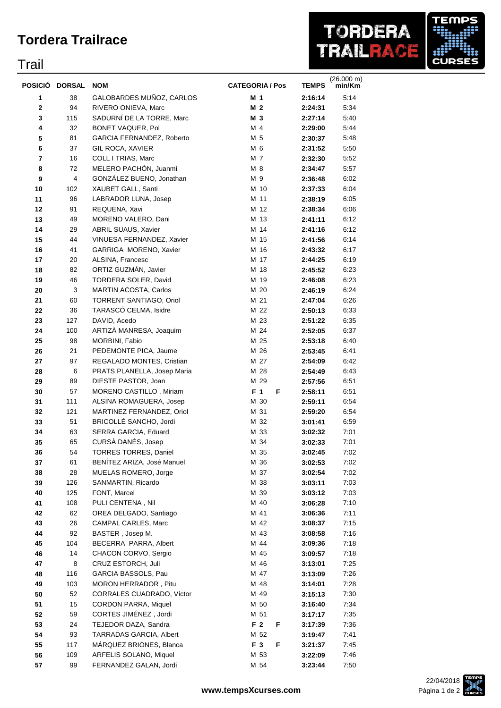## **Tordera Trailrace**

## Trail



| POSICIÓ        | <b>DORSAL</b> | <b>NOM</b>                  | <b>CATEGORIA / Pos</b> | <b>TEMPS</b> | $(26.000 \text{ m})$<br>min/Km |
|----------------|---------------|-----------------------------|------------------------|--------------|--------------------------------|
| 1              | 38            | GALOBARDES MUÑOZ, CARLOS    | M 1                    | 2:16:14      | 5:14                           |
| $\mathbf 2$    | 94            | RIVERO ONIEVA, Marc         | M 2                    | 2:24:31      | 5:34                           |
| 3              | 115           | SADURNÍ DE LA TORRE, Marc   | M 3                    | 2:27:14      | 5:40                           |
| 4              | 32            | BONET VAQUER, Pol           | M 4                    | 2:29:00      | 5:44                           |
| 5              | 81            | GARCIA FERNANDEZ, Roberto   | M 5                    | 2:30:37      | 5:48                           |
| 6              | 37            | GIL ROCA, XAVIER            | M 6                    | 2:31:52      | 5:50                           |
| $\overline{7}$ | 16            | COLL I TRIAS, Marc          | M 7                    | 2:32:30      | 5:52                           |
| 8              | 72            | MELERO PACHÓN, Juanmi       | M 8                    | 2:34:47      | 5:57                           |
| 9              | 4             | GONZÁLEZ BUENO, Jonathan    | M 9                    | 2:36:48      | 6:02                           |
| 10             | 102           | XAUBET GALL, Santi          | M 10                   | 2:37:33      | 6:04                           |
| 11             | 96            | LABRADOR LUNA, Josep        | M 11                   | 2:38:19      | 6:05                           |
| 12             | 91            | REQUENA, Xavi               | M 12                   | 2:38:34      | 6:06                           |
| 13             | 49            | MORENO VALERO, Dani         | M 13                   | 2:41:11      | 6:12                           |
| 14             | 29            | ABRIL SUAUS, Xavier         | M 14                   | 2:41:16      | 6:12                           |
| 15             | 44            | VINUESA FERNANDEZ, Xavier   | M 15                   | 2:41:56      | 6:14                           |
| 16             | 41            | GARRIGA MORENO, Xavier      | M 16                   | 2:43:32      | 6:17                           |
| 17             | 20            | ALSINA, Francesc            | M 17                   | 2:44:25      | 6:19                           |
| 18             | 82            | ORTIZ GUZMÁN, Javier        | M 18                   | 2:45:52      | 6:23                           |
| 19             | 46            | TORDERA SOLER, David        | M 19                   | 2:46:08      | 6:23                           |
| 20             | 3             | MARTIN ACOSTA, Carlos       | M 20                   | 2:46:19      | 6:24                           |
| 21             | 60            | TORRENT SANTIAGO, Oriol     | M 21                   | 2:47:04      | 6:26                           |
| 22             | 36            | TARASCÓ CELMA, Isidre       | M 22                   | 2:50:13      | 6:33                           |
| 23             | 127           | DAVID, Acedo                | M 23                   | 2:51:22      | 6:35                           |
| 24             | 100           | ARTIZÀ MANRESA, Joaquim     | M 24                   | 2:52:05      | 6:37                           |
| 25             | 98            | MORBINI, Fabio              | M 25                   | 2:53:18      | 6:40                           |
| 26             | 21            | PEDEMONTE PICA, Jaume       | M 26                   | 2:53:45      | 6:41                           |
| 27             | 97            | REGALADO MONTES, Cristian   | M 27                   | 2:54:09      | 6:42                           |
| 28             | 6             | PRATS PLANELLA, Josep Maria | M 28                   | 2:54:49      | 6:43                           |
| 29             | 89            | DIESTE PASTOR, Joan         | M 29                   | 2:57:56      | 6:51                           |
| 30             | 57            | MORENO CASTILLO, Miriam     | F <sub>1</sub><br>F    | 2:58:11      | 6:51                           |
| 31             | 111           | ALSINA ROMAGUERA, Josep     | M 30                   | 2:59:11      | 6:54                           |
| 32             | 121           | MARTINEZ FERNANDEZ, Oriol   | M 31                   | 2:59:20      | 6:54                           |
| 33             | 51            | BRICOLLÉ SANCHO, Jordi      | M 32                   | 3:01:41      | 6:59                           |
| 34             | 63            | SERRA GARCIA, Eduard        | M 33                   | 3:02:32      | 7:01                           |
| 35             | 65            | CURSÀ DANÉS, Josep          | M 34                   | 3:02:33      | 7:01                           |
| 36             | 54            | TORRES TORRES, Daniel       | M 35                   | 3:02:45      | 7:02                           |
| 37             | 61            | BENÍTEZ ARIZA, José Manuel  | M 36                   | 3:02:53      | 7:02                           |
| 38             | 28            | MUELAS ROMERO, Jorge        | M 37                   | 3:02:54      | 7:02                           |
| 39             | 126           | SANMARTIN, Ricardo          | M 38                   | 3:03:11      | 7:03                           |
| 40             | 125           | FONT, Marcel                | M 39                   | 3:03:12      | 7:03                           |
| 41             | 108           | PULI CENTENA, Nil           | M 40                   | 3:06:28      | 7:10                           |
| 42             | 62            | OREA DELGADO, Santiago      | M 41                   | 3:06:36      | 7:11                           |
| 43             | 26            | CAMPAL CARLES, Marc         | M 42                   | 3:08:37      | 7:15                           |
| 44             | 92            | BASTER, Josep M.            | M 43                   | 3:08:58      | 7:16                           |
| 45             | 104           | BECERRA PARRA, Albert       | M 44                   | 3:09:36      | 7:18                           |
| 46             | 14            | CHACON CORVO, Sergio        | M 45                   | 3:09:57      | 7:18                           |
| 47             | 8             | CRUZ ESTORCH, Juli          | M 46                   | 3:13:01      | 7:25                           |
| 48             | 116           | GARCIA BASSOLS, Pau         | M 47                   | 3:13:09      | 7:26                           |
| 49             | 103           | MORON HERRADOR, Pitu        | M 48                   | 3:14:01      | 7:28                           |
| 50             | 52            | CORRALES CUADRADO, Víctor   | M 49                   | 3:15:13      | 7:30                           |
| 51             | 15            | <b>CORDON PARRA, Miquel</b> | M 50                   | 3:16:40      | 7:34                           |
| 52             | 59            | CORTES JIMÉNEZ, Jordi       | M 51                   | 3:17:17      | 7:35                           |
| 53             | 24            | TEJEDOR DAZA, Sandra        | F 2<br>F               | 3:17:39      | 7:36                           |
| 54             | 93            | TARRADAS GARCIA, Albert     | M 52                   | 3:19:47      | 7:41                           |
| 55             | 117           | MARQUEZ BRIONES, Blanca     | F 3<br>F               | 3:21:37      | 7:45                           |
| 56             | 109           | ARFELIS SOLANO, Miquel      | M 53                   | 3:22:09      | 7:46                           |
| 57             | 99            | FERNANDEZ GALAN, Jordi      | M 54                   | 3:23:44      | 7:50                           |